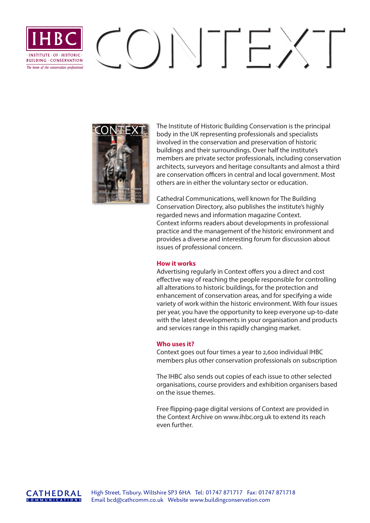# $\Gamma(\mathcal{A})\setminus\Gamma\subset\mathcal{A}$ INICTITUITE, OF, HICTORIC. **RIIII DING · CONSERVATION** *The home of the conservation professional*



The Institute of Historic Building Conservation is the principal body in the UK representing professionals and specialists involved in the conservation and preservation of historic buildings and their surroundings. Over half the institute's members are private sector professionals, including conservation architects, surveyors and heritage consultants and almost a third are conservation officers in central and local government. Most others are in either the voluntary sector or education.

Cathedral Communications, well known for The Building Conservation Directory, also publishes the institute's highly regarded news and information magazine Context. Context informs readers about developments in professional practice and the management of the historic environment and provides a diverse and interesting forum for discussion about issues of professional concern.

#### **How it works**

Advertising regularly in Context offers you a direct and cost effective way of reaching the people responsible for controlling all alterations to historic buildings, for the protection and enhancement of conservation areas, and for specifying a wide variety of work within the historic environment. With four issues per year, you have the opportunity to keep everyone up-to-date with the latest developments in your organisation and products and services range in this rapidly changing market.

### **Who uses it?**

Context goes out four times a year to 2,600 individual IHBC members plus other conservation professionals on subscription

The IHBC also sends out copies of each issue to other selected organisations, course providers and exhibition organisers based on the issue themes.

Free flipping-page digital versions of Context are provided in the Context Archive on www.ihbc.org.uk to extend its reach even further.